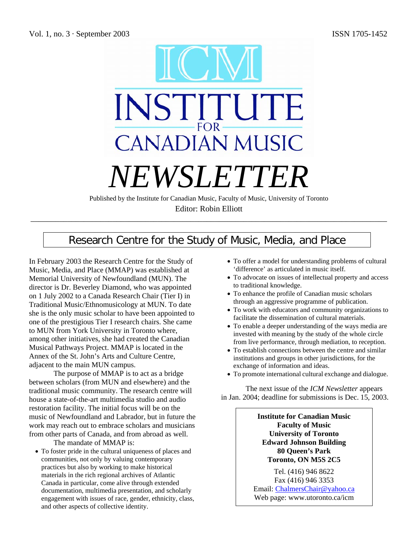

Editor: Robin Elliott \_\_\_\_\_\_\_\_\_\_\_\_\_\_\_\_\_\_\_\_\_\_\_\_\_\_\_\_\_\_\_\_\_\_\_\_\_\_\_\_\_\_\_\_\_\_\_\_\_\_\_\_\_\_\_\_\_\_\_\_\_\_\_\_\_\_\_\_\_\_\_\_\_\_\_\_\_\_\_\_\_\_\_\_\_\_\_

# Research Centre for the Study of Music, Media, and Place

In February 2003 the Research Centre for the Study of Music, Media, and Place (MMAP) was established at Memorial University of Newfoundland (MUN). The director is Dr. Beverley Diamond, who was appointed on 1 July 2002 to a Canada Research Chair (Tier I) in Traditional Music/Ethnomusicology at MUN. To date she is the only music scholar to have been appointed to one of the prestigious Tier I research chairs. She came to MUN from York University in Toronto where, among other initiatives, she had created the Canadian Musical Pathways Project. MMAP is located in the Annex of the St. John's Arts and Culture Centre, adjacent to the main MUN campus.

The purpose of MMAP is to act as a bridge between scholars (from MUN and elsewhere) and the traditional music community. The research centre will house a state-of-the-art multimedia studio and audio restoration facility. The initial focus will be on the music of Newfoundland and Labrador, but in future the work may reach out to embrace scholars and musicians from other parts of Canada, and from abroad as well.

The mandate of MMAP is:

• To foster pride in the cultural uniqueness of places and communities, not only by valuing contemporary practices but also by working to make historical materials in the rich regional archives of Atlantic Canada in particular, come alive through extended documentation, multimedia presentation, and scholarly engagement with issues of race, gender, ethnicity, class, and other aspects of collective identity.

- To offer a model for understanding problems of cultural 'difference' as articulated in music itself.
- To advocate on issues of intellectual property and access to traditional knowledge.
- To enhance the profile of Canadian music scholars through an aggressive programme of publication.
- To work with educators and community organizations to facilitate the dissemination of cultural materials.
- To enable a deeper understanding of the ways media are invested with meaning by the study of the whole circle from live performance, through mediation, to reception.
- To establish connections between the centre and similar institutions and groups in other jurisdictions, for the exchange of information and ideas.
- To promote international cultural exchange and dialogue.

The next issue of the *ICM Newsletter* appears in Jan. 2004; deadline for submissions is Dec. 15, 2003.

> **Institute for Canadian Music Faculty of Music University of Toronto Edward Johnson Building 80 Queen's Park Toronto, ON M5S 2C5**

Tel. (416) 946 8622 Fax (416) 946 3353 Email: ChalmersChair@yahoo.ca Web page: www.utoronto.ca/icm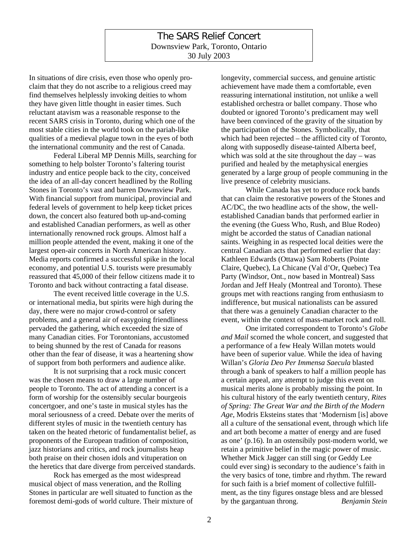## The SARS Relief Concert Downsview Park, Toronto, Ontario 30 July 2003

In situations of dire crisis, even those who openly proclaim that they do not ascribe to a religious creed may find themselves helplessly invoking deities to whom they have given little thought in easier times. Such reluctant atavism was a reasonable response to the recent SARS crisis in Toronto, during which one of the most stable cities in the world took on the pariah-like qualities of a medieval plague town in the eyes of both the international community and the rest of Canada.

Federal Liberal MP Dennis Mills, searching for something to help bolster Toronto's faltering tourist industry and entice people back to the city, conceived the idea of an all-day concert headlined by the Rolling Stones in Toronto's vast and barren Downsview Park. With financial support from municipal, provincial and federal levels of government to help keep ticket prices down, the concert also featured both up-and-coming and established Canadian performers, as well as other internationally renowned rock groups. Almost half a million people attended the event, making it one of the largest open-air concerts in North American history. Media reports confirmed a successful spike in the local economy, and potential U.S. tourists were presumably reassured that 45,000 of their fellow citizens made it to Toronto and back without contracting a fatal disease.

The event received little coverage in the U.S. or international media, but spirits were high during the day, there were no major crowd-control or safety problems, and a general air of easygoing friendliness pervaded the gathering, which exceeded the size of many Canadian cities. For Torontonians, accustomed to being shunned by the rest of Canada for reasons other than the fear of disease, it was a heartening show of support from both performers and audience alike.

It is not surprising that a rock music concert was the chosen means to draw a large number of people to Toronto. The act of attending a concert is a form of worship for the ostensibly secular bourgeois concertgoer, and one's taste in musical styles has the moral seriousness of a creed. Debate over the merits of different styles of music in the twentieth century has taken on the heated rhetoric of fundamentalist belief, as proponents of the European tradition of composition, jazz historians and critics, and rock journalists heap both praise on their chosen idols and vituperation on the heretics that dare diverge from perceived standards.

Rock has emerged as the most widespread musical object of mass veneration, and the Rolling Stones in particular are well situated to function as the foremost demi-gods of world culture. Their mixture of longevity, commercial success, and genuine artistic achievement have made them a comfortable, even reassuring international institution, not unlike a well established orchestra or ballet company. Those who doubted or ignored Toronto's predicament may well have been convinced of the gravity of the situation by the participation of the Stones. Symbolically, that which had been rejected – the afflicted city of Toronto, along with supposedly disease-tainted Alberta beef, which was sold at the site throughout the day – was purified and healed by the metaphysical energies generated by a large group of people communing in the live presence of celebrity musicians.

While Canada has yet to produce rock bands that can claim the restorative powers of the Stones and AC/DC, the two headline acts of the show, the wellestablished Canadian bands that performed earlier in the evening (the Guess Who, Rush, and Blue Rodeo) might be accorded the status of Canadian national saints. Weighing in as respected local deities were the central Canadian acts that performed earlier that day: Kathleen Edwards (Ottawa) Sam Roberts (Pointe Claire, Quebec), La Chicane (Val d'Or, Quebec) Tea Party (Windsor, Ont., now based in Montreal) Sass Jordan and Jeff Healy (Montreal and Toronto). These groups met with reactions ranging from enthusiasm to indifference, but musical nationalists can be assured that there was a genuinely Canadian character to the event, within the context of mass-market rock and roll.

One irritated correspondent to Toronto's *Globe and Mail* scorned the whole concert, and suggested that a performance of a few Healy Willan motets would have been of superior value. While the idea of having Willan's *Gloria Deo Per Immensa Saecula* blasted through a bank of speakers to half a million people has a certain appeal, any attempt to judge this event on musical merits alone is probably missing the point. In his cultural history of the early twentieth century, *Rites of Spring: The Great War and the Birth of the Modern Age*, Modris Eksteins states that 'Modernism [is] above all a culture of the sensational event, through which life and art both become a matter of energy and are fused as one' (p.16). In an ostensibily post-modern world, we retain a primitive belief in the magic power of music. Whether Mick Jagger can still sing (or Geddy Lee could ever sing) is secondary to the audience's faith in the very basics of tone, timbre and rhythm. The reward for such faith is a brief moment of collective fulfillment, as the tiny figures onstage bless and are blessed by the gargantuan throng. *Benjamin Stein*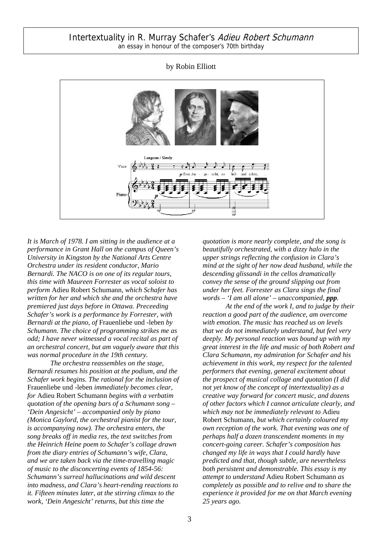## by Robin Elliott



*It is March of 1978. I am sitting in the audience at a performance in Grant Hall on the campus of Queen's University in Kingston by the National Arts Centre Orchestra under its resident conductor, Mario Bernardi. The NACO is on one of its regular tours, this time with Maureen Forrester as vocal soloist to perform* Adieu Robert Schumann*, which Schafer has written for her and which she and the orchestra have premiered just days before in Ottawa. Preceeding Schafer's work is a performance by Forrester, with Bernardi at the piano, of* Frauenliebe und -leben *by Schumann. The choice of programming strikes me as odd; I have never witnessed a vocal recital as part of an orchestral concert, but am vaguely aware that this was normal procedure in the 19th century.* 

*The orchestra reassembles on the stage, Bernardi resumes his position at the podium, and the Schafer work begins. The rational for the inclusion of* Frauenliebe und -leben *immediately becomes clear, for* Adieu Robert Schumann *begins with a verbatim quotation of the opening bars of a Schumann song – 'Dein Angesicht' – accompanied only by piano (Monica Gaylord, the orchestral pianist for the tour, is accompanying now). The orchestra enters, the song breaks off in media res, the text switches from the Heinrich Heine poem to Schafer's collage drawn from the diary entries of Schumann's wife, Clara, and we are taken back via the time-travelling magic of music to the disconcerting events of 1854-56: Schumann's surreal hallucinations and wild descent into madness, and Clara's heart-rending reactions to it. Fifteen minutes later, at the stirring climax to the work, 'Dein Angesicht' returns, but this time the* 

*quotation is more nearly complete, and the song is beautifully orchestrated, with a dizzy halo in the upper strings reflecting the confusion in Clara's mind at the sight of her now dead husband, while the descending glissandi in the cellos dramatically convey the sense of the ground slipping out from under her feet. Forrester as Clara sings the final words – 'I am all alone' – unaccompanied, ppp.* 

*At the end of the work I, and to judge by their reaction a good part of the audience, am overcome with emotion. The music has reached us on levels that we do not immediately understand, but feel very deeply. My personal reaction was bound up with my great interest in the life and music of both Robert and Clara Schumann, my admiration for Schafer and his achievement in this work, my respect for the talented performers that evening, general excitement about the prospect of musical collage and quotation (I did not yet know of the concept of intertextuality) as a creative way forward for concert music, and dozens of other factors which I cannot articulate clearly, and which may not be immediately relevant to* Adieu Robert Schumann*, but which certainly coloured my own reception of the work. That evening was one of perhaps half a dozen transcendent moments in my concert-going career. Schafer's composition has changed my life in ways that I could hardly have predicted and that, though subtle, are nevertheless both persistent and demonstrable. This essay is my attempt to understand* Adieu Robert Schumann *as completely as possible and to relive and to share the experience it provided for me on that March evening 25 years ago.*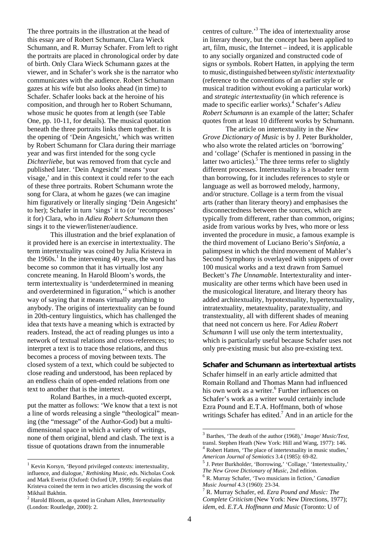The three portraits in the illustration at the head of this essay are of Robert Schumann, Clara Wieck Schumann, and R. Murray Schafer. From left to right the portraits are placed in chronological order by date of birth. Only Clara Wieck Schumann gazes at the viewer, and in Schafer's work she is the narrator who communicates with the audience. Robert Schumann gazes at his wife but also looks ahead (in time) to Schafer. Schafer looks back at the heroine of his composition, and through her to Robert Schumann, whose music he quotes from at length (see Table One, pp. 10-11, for details). The musical quotation beneath the three portraits links them together. It is the opening of 'Dein Angesicht,' which was written by Robert Schumann for Clara during their marriage year and was first intended for the song cycle *Dichterliebe*, but was removed from that cycle and published later. 'Dein Angesicht' means 'your visage,' and in this context it could refer to the each of these three portraits. Robert Schumann wrote the song for Clara, at whom he gazes (we can imagine him figuratively or literally singing 'Dein Angesicht' to her); Schafer in turn 'sings' it to (or 'recomposes' it for) Clara, who in *Adieu Robert Schumann* then sings it to the viewer/listener/audience.

This illustration and the brief explanation of it provided here is an exercise in intertextuality. The term intertextuality was coined by Julia Kristeva in the  $1960s$ .<sup>1</sup> In the intervening 40 years, the word has become so common that it has virtually lost any concrete meaning. In Harold Bloom's words, the term intertextuality is 'underdetermined in meaning and overdetermined in figuration,<sup> $2$ </sup> which is another way of saying that it means virtually anything to anybody. The origins of intertextuality can be found in 20th-century linguistics, which has challenged the idea that texts have a meaning which is extracted by readers. Instead, the act of reading plunges us into a network of textual relations and cross-references; to interpret a text is to trace those relations, and thus becomes a process of moving between texts. The closed system of a text, which could be subjected to close reading and understood, has been replaced by an endless chain of open-ended relations from one text to another that is the intertext.

 Roland Barthes, in a much-quoted excerpt, put the matter as follows: 'We know that a text is not a line of words releasing a single "theological" meaning (the "message" of the Author-God) but a multidimensional space in which a variety of writings, none of them original, blend and clash. The text is a tissue of quotations drawn from the innumerable

l

centres of culture.<sup>3</sup> The idea of intertextuality arose in literary theory, but the concept has been applied to art, film, music, the Internet – indeed, it is applicable to any socially organized and constructed code of signs or symbols. Robert Hatten, in applying the term to music, distinguished between *stylistic intertextuality* (reference to the conventions of an earlier style or musical tradition without evoking a particular work) and *strategic intertextuality* (in which reference is made to specific earlier works).<sup>4</sup> Schafer's *Adieu Robert Schumann* is an example of the latter; Schafer quotes from at least 10 different works by Schumann.

 The article on intertextuality in the *New Grove Dictionary of Music* is by J. Peter Burkholder, who also wrote the related articles on 'borrowing' and 'collage' (Schafer is mentioned in passing in the latter two articles).<sup>5</sup> The three terms refer to slightly different processes. Intertextuality is a broader term than borrowing, for it includes references to style or language as well as borrowed melody, harmony, and/or structure. Collage is a term from the visual arts (rather than literary theory) and emphasises the disconnectedness between the sources, which are typically from different, rather than common, origins; aside from various works by Ives, who more or less invented the procedure in music, a famous example is the third movement of Luciano Berio's *Sinfonia*, a palimpsest in which the third movement of Mahler's Second Symphony is overlayed with snippets of over 100 musical works and a text drawn from Samuel Beckett's *The Unnamable*. Intertexturality and intermusicality are other terms which have been used in the musicological literature, and literary theory has added architextuality, hypotextuality, hypertextuality, intratextuality, metatextuality, paratextuality, and transtextuality, all with different shades of meaning that need not concern us here. For *Adieu Robert Schumann* I will use only the term intertextuality, which is particularly useful because Schafer uses not only pre-existing music but also pre-existing text.

#### **Schafer and Schumann as intertextual artists**

Schafer himself in an early article admitted that Romain Rolland and Thomas Mann had influenced his own work as a writer.<sup>6</sup> Further influences on Schafer's work as a writer would certainly include Ezra Pound and E.T.A. Hoffmann, both of whose writings Schafer has edited.<sup>7</sup> And in an article for the

 $1$  Kevin Korsyn, 'Beyond privileged contexts: intertextuality, influence, and dialogue,' *Rethinking Music*, eds. Nicholas Cook and Mark Everist (Oxford: Oxford UP, 1999): 56 explains that Kristeva coined the term in two articles discussing the work of Mikhail Bakhtin.

<sup>2</sup> Harold Bloom, as quoted in Graham Allen, *Intertextuality* (London: Routledge, 2000): 2.

<sup>3</sup> Barthes, 'The death of the author (1968),' *Image/ Music/Text*, transl. Stephen Heath (New York: Hill and Wang, 1977): 146. <sup>4</sup> Robert Hatten, 'The place of intertextuality in music studies,'

*American Journal of Semiotics* 3.4 (1985): 69-82. <sup>5</sup> J. Peter Burkholder, 'Borrowing,' 'Collage,' 'Intertextuality,' *The New Grove Dictionary of Music*, 2nd edition.<br><sup>6</sup> R. Murray Schafer, 'Two musicians in fiction,' *Canadian* 

*Music Journal* 4.3 (1960): 23-34. <sup>7</sup>

R. Murray Schafer, ed. *Ezra Pound and Music: The Complete Criticism* (New York: New Directions, 1977); *idem*, ed. *E.T.A. Hoffmann and Music* (Toronto: U of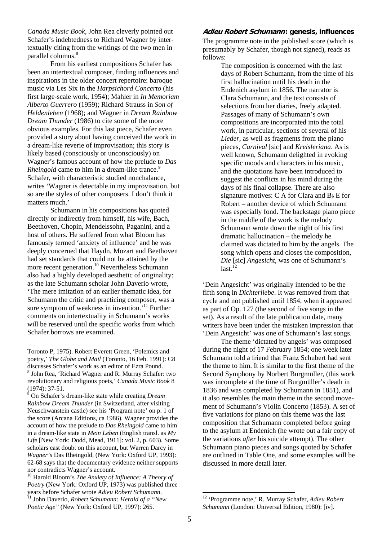*Canada Music Book*, John Rea cleverly pointed out Schafer's indebtedness to Richard Wagner by intertextually citing from the writings of the two men in parallel columns.<sup>8</sup>

From his earliest compositions Schafer has been an intertextual composer, finding influences and inspirations in the older concert repertoire: baroque music via Les Six in the *Harpsichord Concerto* (his first large-scale work, 1954); Mahler in *In Memoriam Alberto Guerrero* (1959); Richard Strauss in *Son of Heldenleben* (1968); and Wagner in *Dream Rainbow Dream Thunder* (1986) to cite some of the more obvious examples. For this last piece, Schafer even provided a story about having conceived the work in a dream-like reverie of improvisation; this story is likely based (consciously or unconsciously) on Wagner's famous account of how the prelude to *Das Rheingold* came to him in a dream-like trance.<sup>9</sup> Schafer, with characteristic studied nonchalance, writes 'Wagner is detectable in my improvisation, but so are the styles of other composers. I don't think it matters much.'

Schumann in his compositions has quoted directly or indirectly from himself, his wife, Bach, Beethoven, Chopin, Mendelssohn, Paganini, and a host of others. He suffered from what Bloom has famously termed 'anxiety of influence' and he was deeply concerned that Haydn, Mozart and Beethoven had set standards that could not be attained by the more recent generation.10 Nevertheless Schumann also had a highly developed aesthetic of originality: as the late Schumann scholar John Daverio wrote, 'The mere imitation of an earlier thematic idea, for Schumann the critic and practicing composer, was a sure symptom of weakness in invention.<sup>11</sup> Further comments on intertextuality in Schumann's works will be reserved until the specific works from which Schafer borrows are examined.

Toronto P, 1975). Robert Everett Green, 'Polemics and poetry,' *The Globe and Mail* (Toronto, 16 Feb. 1991): C8 discusses Schafer's work as an editor of Ezra Pound. <sup>8</sup> John Rea, 'Richard Wagner and R. Murray Schafer: two revolutionary and religious poets,' *Canada Music Book* 8 (1974): 37-51.

l

9 On Schafer's dream-like state while creating *Dream Rainbow Dream Thunder* (in Switzerland, after visiting Neuschwanstein castle) see his 'Program note' on p. 1 of the score (Arcana Editions, ca 1986). Wagner provides the account of how the prelude to *Das Rheingold* came to him in a dream-like state in *Mein Leben* (English transl. as *My Life* [New York: Dodd, Mead, 1911]: vol. 2, p. 603). Some scholars cast doubt on this account, but Warren Darcy in *Wagner's* Das Rheingold, (New York: Oxford UP, 1993): 62-68 says that the documentary evidence neither supports nor contradicts Wagner's account.

10 Harold Bloom's *The Anxiety of Influence: A Theory of Poetry* (New York: Oxford UP, 1973) was published three years before Schafer wrote *Adieu Robert Schumann*. 11 John Daverio, *Robert Schumann: Herald of a "New Poetic Age"* (New York: Oxford UP, 1997): 265.

#### **Adieu Robert Schumann: genesis, influences**

The programme note in the published score (which is presumably by Schafer, though not signed), reads as follows:

> The composition is concerned with the last days of Robert Schumann, from the time of his first hallucination until his death in the Endenich asylum in 1856. The narrator is Clara Schumann, and the text consists of selections from her diaries, freely adapted. Passages of many of Schumann's own compositions are incorporated into the total work, in particular, sections of several of his *Lieder*, as well as fragments from the piano pieces, *Carnival* [sic] and *Kreisleriana*. As is well known, Schumann delighted in evoking specific moods and characters in his music, and the quotations have been introduced to suggest the conflicts in his mind during the days of his final collapse. There are also signature motives: C A for Clara and  $B$  E for Robert – another device of which Schumann was especially fond. The backstage piano piece in the middle of the work is the melody Schumann wrote down the night of his first dramatic hallucination – the melody he claimed was dictated to him by the angels. The song which opens and closes the composition, *Die* [sic] *Angesicht*, was one of Schumann's  $last.<sup>12</sup>$

'Dein Angesicht' was originally intended to be the fifth song in *Dichterliebe*. It was removed from that cycle and not published until 1854, when it appeared as part of Op. 127 (the second of five songs in the set). As a result of the late publication date, many writers have been under the mistaken impression that 'Dein Angesicht' was one of Schumann's last songs.

The theme 'dictated by angels' was composed during the night of 17 February 1854; one week later Schumann told a friend that Franz Schubert had sent the theme to him. It is similar to the first theme of the Second Symphony by Norbert Burgmüller, (this work was incomplete at the time of Burgmüller's death in 1836 and was completed by Schumann in 1851), and it also resembles the main theme in the second movement of Schumann's Violin Concerto (1853). A set of five variations for piano on this theme was the last composition that Schumann completed before going to the asylum at Endenich (he wrote out a fair copy of the variations *after* his suicide attempt). The other Schumann piano pieces and songs quoted by Schafer are outlined in Table One, and some examples will be discussed in more detail later.

<sup>12 &#</sup>x27;Programme note,' R. Murray Schafer, *Adieu Robert Schumann* (London: Universal Edition, 1980): [iv].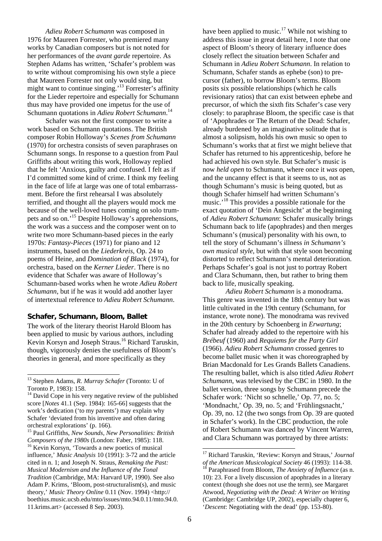*Adieu Robert Schumann* was composed in 1976 for Maureen Forrester, who premiered many works by Canadian composers but is not noted for her performances of the *avant garde* repertoire. As Stephen Adams has written, 'Schafer's problem was to write without compromising his own style a piece that Maureen Forrester not only would sing, but might want to continue singing.'13 Forrester's affinity for the Lieder repertoire and especially for Schumann thus may have provided one impetus for the use of Schumann quotations in *Adieu Robert Schumann*. 14

Schafer was not the first composer to write a work based on Schumann quotations. The British composer Robin Holloway's *Scenes from Schumann* (1970) for orchestra consists of seven paraphrases on Schumann songs. In response to a question from Paul Griffiths about writing this work, Holloway replied that he felt 'Anxious, guilty and confused. I felt as if I'd committed some kind of crime. I think my feeling in the face of life at large was one of total embarrassment. Before the first rehearsal I was absolutely terrified, and thought all the players would mock me because of the well-loved tunes coming on solo trumpets and so on.'15 Despite Holloway's apprehensions, the work was a success and the composer went on to write two more Schumann-based pieces in the early 1970s: *Fantasy-Pieces* (1971) for piano and 12 instruments, based on the *Liederkreis*, Op. 24 to poems of Heine, and *Domination of Black* (1974), for orchestra, based on the *Kerner Lieder*. There is no evidence that Schafer was aware of Holloway's Schumann-based works when he wrote *Adieu Robert Schumann*, but if he was it would add another layer of intertextual reference to *Adieu Robert Schumann*.

## **Schafer, Schumann, Bloom, Ballet**

The work of the literary theorist Harold Bloom has been applied to music by various authors, including Kevin Korsyn and Joseph Straus.16 Richard Taruskin, though, vigorously denies the usefulness of Bloom's theories in general, and more specifically as they

l

have been applied to music.<sup>17</sup> While not wishing to address this issue in great detail here, I note that one aspect of Bloom's theory of literary influence does closely reflect the situation between Schafer and Schumann in *Adieu Robert Schumann*. In relation to Schumann, Schafer stands as ephebe (son) to precursor (father), to borrow Bloom's terms. Bloom posits six possible relationships (which he calls revisionary ratios) that can exist between ephebe and precursor, of which the sixth fits Schafer's case very closely: to paraphrase Bloom, the specific case is that of 'Apophrades or The Return of the Dead: Schafer, already burdened by an imaginative solitude that is almost a solipsism, holds his own music so open to Schumann's works that at first we might believe that Schafer has returned to his apprenticeship, before he had achieved his own style. But Schafer's music is now *held open* to Schumann, where once it *was* open, and the uncanny effect is that it seems to us, not as though Schumann's music is being quoted, but as though Schafer himself had written Schumann's music.<sup>'18</sup> This provides a possible rationale for the exact quotation of 'Dein Angesicht' at the beginning of *Adieu Robert Schumann*: Schafer musically brings Schumann back to life (apophrades) and then merges Schumann's (musical) personality with his own, to tell the story of Schumann's illness *in Schumann's own musical style*, but with that style soon becoming distorted to reflect Schumann's mental deterioration. Perhaps Schafer's goal is not just to portray Robert and Clara Schumann, then, but rather to bring them back to life, musically speaking.

*Adieu Robert Schumann* is a monodrama. This genre was invented in the 18th century but was little cultivated in the 19th century (Schumann, for instance, wrote none). The monodrama was revived in the 20th century by Schoenberg in *Erwartung*; Schafer had already added to the repertoire with his *Brébeuf* (1960) and *Requiems for the Party Girl* (1966). *Adieu Robert Schumann* crossed genres to become ballet music when it was choreographed by Brian Macdonald for Les Grands Ballets Canadiens. The resulting ballet, which is also titled *Adieu Robert Schumann*, was televised by the CBC in 1980. In the ballet version, three songs by Schumann precede the Schafer work: 'Nicht so schnelle,' Op. 77, no. 5; 'Mondnacht,' Op. 39, no. 5; and 'Frühlingsnacht,' Op. 39, no. 12 (the two songs from Op. 39 are quoted in Schafer's work). In the CBC production, the role of Robert Schumann was danced by Vincent Warren, and Clara Schumann was portrayed by three artists:

<sup>13</sup> Stephen Adams, *R. Murray Schafer* (Toronto: U of Toronto P, 1983): 158.

<sup>&</sup>lt;sup>14</sup> David Cope in his very negative review of the published score [*Notes* 41.1 (Sep. 1984): 165-66] suggests that the work's dedication ('to my parents') may explain why Schafer 'deviated from his inventive and often daring orchestral explorations' (p. 166).

<sup>15</sup> Paul Griffiths, *New Sounds, New Personalities: British Composers of the 1980s* (London: Faber, 1985): 118.<br><sup>16</sup> Kevin Korsyn, 'Towards a new poetics of musical influence,' *Music Analysis* 10 (1991): 3-72 and the article cited in n. 1; and Joseph N. Straus, *Remaking the Past: Musical Modernism and the Influence of the Tonal Tradition* (Cambridge, MA: Harvard UP, 1990). See also Adam P. Krims, 'Bloom, post-structuralism(s), and music theory,' *Music Theory Online* 0.11 (Nov. 1994) <http:// boethius.music.ucsb.edu/mto/issues/mto.94.0.11/mto.94.0. 11.krims.art> (accessed 8 Sep. 2003).

<sup>&</sup>lt;sup>17</sup> Richard Taruskin, 'Review: Korsyn and Straus,' *Journal* of the American Musicological Society 46 (1993): 114-38. <sup>18</sup> Paraphrased from Bloom, *The Anxiety of Influence* (as n. 10): 23. For a lively discussion of apophrades in a literary context (though she does not use the term), see Margaret Atwood, *Negotiating with the Dead: A Writer on Writing* (Cambridge: Cambridge UP, 2002), especially chapter 6, '*Descent*: Negotiating with the dead' (pp. 153-80).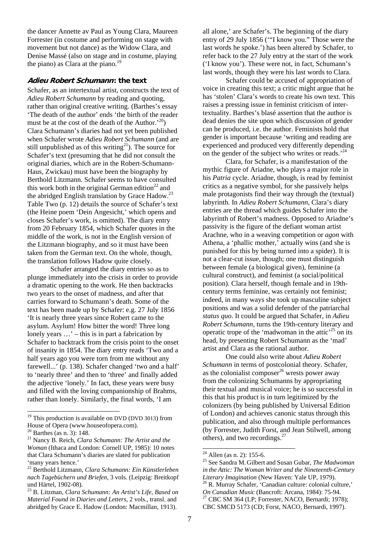the dancer Annette av Paul as Young Clara, Maureen Forrester (in costume and performing on stage with movement but not dance) as the Widow Clara, and Denise Massé (also on stage and in costume, playing the piano) as Clara at the piano. $^{19}$ 

#### **Adieu Robert Schumann: the text**

Schafer, as an intertextual artist, constructs the text of *Adieu Robert Schumann* by reading and quoting, rather than original creative writing. (Barthes's essay 'The death of the author' ends 'the birth of the reader must be at the cost of the death of the Author.<sup>'20</sup>) Clara Schumann's diaries had not yet been published when Schafer wrote *Adieu Robert Schumann* (and are still unpublished as of this writing<sup>21</sup>). The source for Schafer's text (presuming that he did not consult the original diaries, which are in the Robert-Schumann-Haus, Zwickau) must have been the biography by Berthold Litzmann. Schafer seems to have consulted this work both in the original German edition<sup>22</sup> and the abridged English translation by Grace Hadow.<sup>23</sup> Table Two (p. 12) details the source of Schafer's text (the Heine poem 'Dein Angesicht,' which opens and closes Schafer's work, is omitted). The diary entry from 20 February 1854, which Schafer quotes in the middle of the work, is not in the English version of the Litzmann biography, and so it must have been taken from the German text. On the whole, though, the translation follows Hadow quite closely.

 Schafer arranged the diary entries so as to plunge immediately into the crisis in order to provide a dramatic opening to the work. He then backtracks two years to the onset of madness, and after that carries forward to Schumann's death. Some of the text has been made up by Schafer: e.g. 27 July 1856 'It is nearly three years since Robert came to the asylum. Asylum! How bitter the word! Three long lonely years  $\ldots$  – this is in part a fabrication by Schafer to backtrack from the crisis point to the onset of insanity in 1854. The diary entry reads 'Two and a half years ago you were torn from me without any farewell...' (p. 138). Schafer changed 'two and a half' to 'nearly three' and then to 'three' and finally added the adjective 'lonely.' In fact, these years were busy and filled with the loving companionship of Brahms, rather than lonely. Similarly, the final words, 'I am

l

all alone,' are Schafer's. The beginning of the diary entry of 29 July 1856 ('"I know you." Those were the last words he spoke.') has been altered by Schafer, to refer back to the 27 July entry at the start of the work ('I know you'). These were not, in fact, Schumann's last words, though they were his last words to Clara.

 Schafer could be accused of appropriation of voice in creating this text; a critic might argue that he has 'stolen' Clara's words to create his own text. This raises a pressing issue in feminist criticism of intertextuality. Barthes's blasé assertion that the author is dead denies the site upon which discussion of gender can be produced, i.e. the author. Feminists hold that gender is important because 'writing and reading are experienced and produced very differently depending on the gender of the subject who writes or reads.<sup> $24$ </sup>

Clara, for Schafer, is a manifestation of the mythic figure of Ariadne, who plays a major role in his *Patria* cycle. Ariadne, though, is read by feminist critics as a negative symbol, for she passively helps male protagonists find their way through the (textual) labyrinth. In *Adieu Robert Schumann*, Clara's diary entries are the thread which guides Schafer into the labyrinth of Robert's madness. Opposed to Ariadne's passivity is the figure of the defiant woman artist Arachne, who in a weaving competition or *agon* with Athena, a 'phallic mother,' actually wins (and she is punished for this by being turned into a spider). It is not a clear-cut issue, though; one must distinguish between female (a biological given), feminine (a cultural construct), and feminist (a social/political position). Clara herself, though female and in 19thcentury terms feminine, was certainly not feminist; indeed, in many ways she took up masculine subject positions and was a solid defender of the patriarchal *status quo*. It could be argued that Schafer, in *Adieu Robert Schumann*, turns the 19th-century literary and operatic trope of the 'madwoman in the attic'<sup>25</sup> on its head, by presenting Robert Schumann as the 'mad' artist and Clara as the rational author.

One could also write about *Adieu Robert Schumann* in terms of postcolonial theory. Schafer, as the colonialist composer<sup>26</sup> wrests power away from the colonizing Schumanns by appropriating their textual and musical voice; he is so successful in this that his product is in turn legitimized by the colonizers (by being published by Universal Edition of London) and achieves canonic status through this publication, and also through multiple performances (by Forrester, Judith Forst, and Jean Stilwell, among others), and two recordings. $27$ 

 $19$  This production is available on DVD (DVD 3013) from House of Opera (www.houseofopera.com).<br><sup>20</sup> Barthes (as n. 3): 148.

<sup>21</sup> Nancy B. Reich, *Clara Schumann: The Artist and the Woman* (Ithaca and London: Cornell UP, 1985): 10 notes that Clara Schumann's diaries are slated for publication 'many years hence.'

<sup>22</sup> Berthold Litzmann, *Clara Schumann: Ein Künstlerleben nach Tagebüchern und Briefen*, 3 vols. (Leipzig: Breitkopf und Härtel, 1902-08).

<sup>23</sup> B. Litzman, *Clara Schumann: An Artist's Life, Based on Material Found in Diaries and Letters*, 2 vols., transl. and abridged by Grace E. Hadow (London: Macmillan, 1913).

 $24$  Allen (as n. 2): 155-6.

<sup>25</sup> See Sandra M. Gilbert and Susan Gubar, *The Madwoman in the Attic: The Woman Writer and the Nineteenth-Century Literary Imagination* (New Haven: Yale UP, 1979). 26 R. Murray Schafer, 'Canadian culture: colonial culture,'

*On Canadian Music* (Bancroft: Arcana, 1984): 75-94.<br><sup>27</sup> CBC SM 364 (LP; Forrester, NACO, Bernardi; 1978); CBC SMCD 5173 (CD; Forst, NACO, Bernardi, 1997).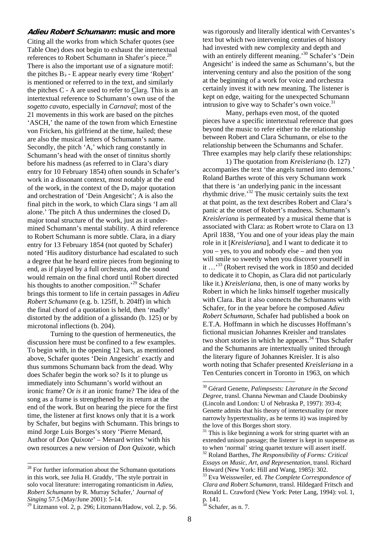#### **Adieu Robert Schumann: music and more**

Citing all the works from which Schafer quotes (see Table One) does not begin to exhaust the intertextual references to Robert Schumann in Shafer's piece.<sup>28</sup> There is also the important use of a signature motif: the pitches  $B_b$  - E appear nearly every time 'Robert' is mentioned or referred to in the text, and similarly the pitches C - A are used to refer to Clara. This is an intertextual reference to Schumann's own use of the *sogetto cavato*, especially in *Carnaval*; most of the 21 movements in this work are based on the pitches 'ASCH,' the name of the town from which Ernestine von Fricken, his girlfriend at the time, hailed; these are also the musical letters of Schumann's name. Secondly, the pitch 'A,' which rang constantly in Schumann's head with the onset of tinnitus shortly before his madness (as referred to in Clara's diary entry for 10 February 1854) often sounds in Schafer's work in a dissonant context, most notably at the end of the work, in the context of the  $D<sub>b</sub>$  major quotation and orchestration of 'Dein Angesicht'; A is also the final pitch in the work, to which Clara sings 'I am all alone.' The pitch A thus undermines the closed  $D<sub>b</sub>$ major tonal structure of the work, just as it undermined Schumann's mental stability. A third reference to Robert Schumann is more subtle. Clara, in a diary entry for 13 February 1854 (not quoted by Schafer) noted 'His auditory disturbance had escalated to such a degree that he heard entire pieces from beginning to end, as if played by a full orchestra, and the sound would remain on the final chord until Robert directed his thoughts to another composition.'<sup>29</sup> Schafer brings this torment to life in certain passages in *Adieu Robert Schumann* (e.g. b. 125ff, b. 204ff) in which the final chord of a quotation is held, then 'madly' distorted by the addition of a glissando (b. 125) or by microtonal inflections (b. 204).

 Turning to the question of hermeneutics, the discussion here must be confined to a few examples. To begin with, in the opening 12 bars, as mentioned above, Schafer quotes 'Dein Angesicht' exactly and thus summons Schumann back from the dead. Why does Schafer begin the work so? Is it to plunge us immediately into Schumann's world without an ironic frame? Or *is it* an ironic frame? The idea of the song as a frame is strengthened by its return at the end of the work. But on hearing the piece for the first time, the listener at first knows only that it is a work by Schafer, but begins with Schumann. This brings to mind Jorge Luis Borges's story 'Pierre Menard, Author of *Don Quixote*' – Menard writes 'with his own resources a new version of *Don Quixote*, which

l

was rigorously and literally identical with Cervantes's text but which two intervening centuries of history had invested with new complexity and depth and with an entirely different meaning.<sup>30</sup> Schafer's 'Dein Angesicht' is indeed the same as Schumann's, but the intervening century and also the position of the song at the beginning of a work for voice and orchestra certainly invest it with new meaning. The listener is kept on edge, waiting for the unexpected Schumann intrusion to give way to Schafer's own voice. $31$ 

 Many, perhaps even most, of the quoted pieces have a specific intertextual reference that goes beyond the music to refer either to the relationship between Robert and Clara Schumann, or else to the relationship between the Schumanns and Schafer. Three examples may help clarify these relationships:

1) The quotation from *Kreisleriana* (b. 127) accompanies the text 'the angels turned into demons.' Roland Barthes wrote of this very Schumann work that there is 'an underlying panic in the incessant rhythmic drive.'32 The music certainly suits the text at that point, as the text describes Robert and Clara's panic at the onset of Robert's madness. Schumann's *Kreisleriana* is permeated by a musical theme that is associated with Clara: as Robert wrote to Clara on 13 April 1838, 'You and one of your ideas play the main role in it [*Kreisleriana*], and I want to dedicate it to you – yes, to you and nobody else – and then you will smile so sweetly when you discover yourself in it ...<sup>33</sup> (Robert revised the work in 1850 and decided to dedicate it to Chopin, as Clara did not particularly like it.) *Kreisleriana*, then, is one of many works by Robert in which he links himself together musically with Clara. But it also connects the Schumanns with Schafer, for in the year before he composed *Adieu Robert Schumann*, Schafer had published a book on E.T.A. Hoffmann in which he discusses Hoffmann's fictional musician Johannes Kreisler and translates two short stories in which he appears. $34$  Thus Schafer and the Schumanns are intertextually united through the literary figure of Johannes Kreisler. It is also worth noting that Schafer presented *Kreisleriana* in a Ten Centuries concert in Toronto in 1963, on which

<sup>&</sup>lt;sup>28</sup> For further information about the Schumann quotations in this work, see Julia H. Graddy, 'The style portrait in solo vocal literature: interrogating romanticism in *Adieu, Robert Schumann* by R. Murray Schafer,' *Journal of Singing* 57.5 (May/June 2001): 5-14.

 $29$  Litzmann vol. 2, p. 296; Litzmann/Hadow, vol. 2, p. 56.

<sup>30</sup> Gérard Genette, *Palimpsests: Literature in the Second Degree*, transl. Channa Newman and Claude Doubinsky (Lincoln and London: U of Nebraska P, 1997): 393-4; Genette admits that his theory of intertextuality (or more narrowly hypertextuality, as he terms it) was inspired by the love of this Borges short story.

 $31$  This is like beginning a work for string quartet with an extended unison passage; the listener is kept in suspense as to when 'normal' string quartet texture will assert itself. 32 Roland Barthes, *The Responsibility of Forms: Critical Essays on Music, Art, and Representation*, transl. Richard

Howard (New York: Hill and Wang, 1985): 302. 33 Eva Weissweiler, ed. *The Complete Correspondence of* 

*Clara and Robert Schumann*, transl. Hildegard Fritsch and Ronald L. Crawford (New York: Peter Lang, 1994): vol. 1, p. 141.

 $34$  Schafer, as n. 7.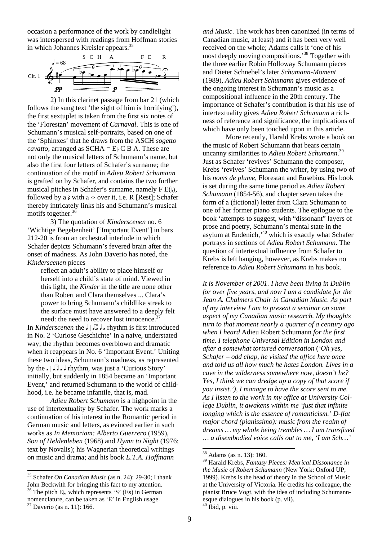occasion a performance of the work by candlelight was interspersed with readings from Hoffman stories in which Johannes Kreisler appears.<sup>35</sup>



2) In this clarinet passage from bar 21 (which follows the sung text 'the sight of him is horrifying'), the first sextuplet is taken from the first six notes of the 'Florestan' movement of *Carnaval*. This is one of Schumann's musical self-portraits, based on one of the 'Sphinxes' that he draws from the ASCH *sogetto cavatto*, arranged as  $SCHA = E<sub>b</sub> C B A$ . These are not only the musical letters of Schumann's name, but also the first four letters of Schafer's surname; the continuation of the motif in *Adieu Robert Schumann*  is grafted on by Schafer, and contains the two further musical pitches in Schafer's surname, namely  $F E(y)$ , followed by a  $\lambda$  with a  $\sim$  over it, i.e. R [Rest]; Schafer thereby intricately links his and Schumann's musical motifs together.  $36$ 

3) The quotation of *Kinderscenen* no. 6 'Wichtige Begebenheit' ['Important Event'] in bars 212-20 is from an orchestral interlude in which Schafer depicts Schumann's fevered brain after the onset of madness. As John Daverio has noted, the *Kinderscenen* pieces

reflect an adult's ability to place himself or herself into a child's state of mind. Viewed in this light, the *Kinder* in the title are none other than Robert and Clara themselves ... Clara's power to bring Schumann's childlike streak to the surface must have answered to a deeply felt need: the need to recover lost innocence.<sup>3</sup>

In *Kinderscenen* the  $\int \sqrt{1} \cdot \sqrt{1} \cdot \sqrt{1}$  rhythm is first introduced in No. 2 'Curiose Geschichte' in a naive, understated way; the rhythm becomes overblown and dramatic when it reappears in No. 6 'Important Event.' Uniting these two ideas, Schumann's madness, as represented by the  $\Box$   $\Box$   $\Box$  rhythm, was just a 'Curious Story' initially, but suddenly in 1854 became an 'Important Event,' and returned Schumann to the world of childhood, i.e. he became infantile, that is, mad.

*Adieu Robert Schumann* is a highpoint in the use of intertextuality by Schafer. The work marks a continuation of his interest in the Romantic period in German music and letters, as evinced earlier in such works as *In Memoriam: Alberto Guerrero* (1959), *Son of Heldenleben* (1968) and *Hymn to Night* (1976; text by Novalis); his Wagnerian theoretical writings on music and drama; and his book *E.T.A. Hoffmann* 

35 Schafer *On Canadian Music* (as n. 24): 29-30; I thank John Beckwith for bringing this fact to my attention. <sup>36</sup> The pitch E<sub>b</sub>, which represents 'S' (Es) in German nomenclature, can be taken as 'E' in English usage.<br><sup>37</sup> Daverio (as n. 11): 166.

l

*and Music*. The work has been canonized (in terms of Canadian music, at least) and it has been very well received on the whole; Adams calls it 'one of his most deeply moving compositions.<sup>38</sup> Together with the three earlier Robin Holloway Schumann pieces and Dieter Schnebel's later *Schumann-Moment* (1989), *Adieu Robert Schumann* gives evidence of the ongoing interest in Schumann's music as a compositional influence in the 20th century. The importance of Schafer's contribution is that his use of intertextuality gives *Adieu Robert Schumann* a richness of reference and significance, the implications of which have only been touched upon in this article.

More recently, Harald Krebs wrote a book on the music of Robert Schumann that bears certain uncanny similarities to *Adieu Robert Schumann*. 39 Just as Schafer 'revives' Schumann the composer, Krebs 'revives' Schumann the writer, by using two of his *noms de plume*, Florestan and Eusebius. His book is set during the same time period as *Adieu Robert Schumann* (1854-56), and chapter seven takes the form of a (fictional) letter from Clara Schumann to one of her former piano students. The epilogue to the book 'attempts to suggest, with "dissonant" layers of prose and poetry, Schumann's mental state in the asylum at Endenich,<sup>40</sup> which is exactly what Schafer portrays in sections of *Adieu Robert Schumann*. The question of intertextual influence from Schafer to Krebs is left hanging, however, as Krebs makes no reference to *Adieu Robert Schumann* in his book.

*It is November of 2001. I have been living in Dublin for over five years, and now I am a candidate for the Jean A. Chalmers Chair in Canadian Music. As part of my interview I am to present a seminar on some aspect of my Canadian music research. My thoughts turn to that moment nearly a quarter of a century ago when I heard* Adieu Robert Schumann *for the first time. I telephone Universal Edition in London and after a somewhat tortured conversation* (*'Oh yes, Schafer – odd chap, he visited the office here once and told us all how much he hates London. Lives in a cave in the wilderness somewhere now, doesn't he? Yes, I think we can dredge up a copy of that score if you insist.'), I manage to have the score sent to me. As I listen to the work in my office at University College Dublin, it awakens within me 'just that infinite longing which is the essence of romanticism.' D-flat major chord (pianissimo): music from the realm of dreams … my whole being trembles … I am transfixed … a disembodied voice calls out to me, 'I am Sch…'*

 $38$  Adams (as n. 13): 160.

<sup>39</sup> Harald Krebs, *Fantasy Pieces: Metrical Dissonance in the Music of Robert Schumann* (New York: Oxford UP, 1999). Krebs is the head of theory in the School of Music at the University of Victoria. He credits his colleague, the pianist Bruce Vogt, with the idea of including Schumannesque dialogues in his book (p. vii).<br><sup>40</sup> Ibid, p. viii.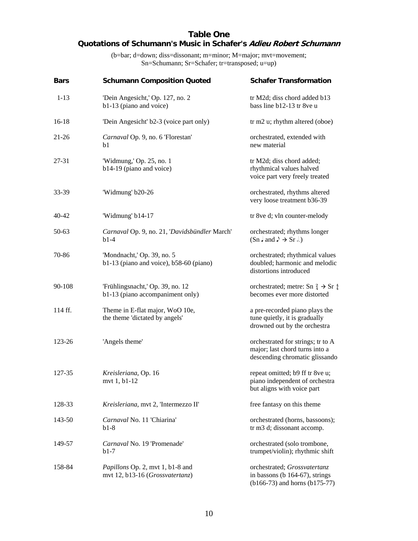## **Table One Quotations of Schumann's Music in Schafer's Adieu Robert Schumann**

(b=bar; d=down; diss=dissonant; m=minor; M=major; mvt=movement; Sn=Schumann; Sr=Schafer; tr=transposed; u=up)

| <b>Bars</b> | <b>Schumann Composition Quoted</b>                                    | <b>Schafer Transformation</b>                                                                         |
|-------------|-----------------------------------------------------------------------|-------------------------------------------------------------------------------------------------------|
| $1 - 13$    | 'Dein Angesicht,' Op. 127, no. 2<br>b1-13 (piano and voice)           | tr M2d; diss chord added b13<br>bass line b12-13 tr 8ve u                                             |
| $16-18$     | 'Dein Angesicht' b2-3 (voice part only)                               | tr m2 u; rhythm altered (oboe)                                                                        |
| $21 - 26$   | Carnaval Op. 9, no. 6 'Florestan'<br>b1                               | orchestrated, extended with<br>new material                                                           |
| 27-31       | 'Widmung,' Op. 25, no. 1<br>b14-19 (piano and voice)                  | tr M2d; diss chord added;<br>rhythmical values halved<br>voice part very freely treated               |
| 33-39       | 'Widmung' b20-26                                                      | orchestrated, rhythms altered<br>very loose treatment b36-39                                          |
| $40 - 42$   | 'Widmung' b14-17                                                      | tr 8ve d; vln counter-melody                                                                          |
| 50-63       | Carnaval Op. 9, no. 21, 'Davidsbündler March'<br>$b1-4$               | orchestrated; rhythms longer                                                                          |
| 70-86       | 'Mondnacht,' Op. 39, no. 5<br>b1-13 (piano and voice), b58-60 (piano) | orchestrated; rhythmical values<br>doubled; harmonic and melodic<br>distortions introduced            |
| 90-108      | 'Frühlingsnacht,' Op. 39, no. 12<br>b1-13 (piano accompaniment only)  | orchestrated; metre: Sn $\frac{2}{4}$ $\rightarrow$ Sr $\frac{4}{4}$<br>becomes ever more distorted   |
| 114 ff.     | Theme in E-flat major, WoO 10e,<br>the theme 'dictated by angels'     | a pre-recorded piano plays the<br>tune quietly, it is gradually<br>drowned out by the orchestra       |
| 123-26      | 'Angels theme'                                                        | orchestrated for strings; tr to A<br>major; last chord turns into a<br>descending chromatic glissando |
| 127-35      | Kreisleriana, Op. 16<br>mvt $1, b1-12$                                | repeat omitted; b9 ff tr 8ve u;<br>piano independent of orchestra<br>but aligns with voice part       |
| 128-33      | Kreisleriana, mvt 2, 'Intermezzo II'                                  | free fantasy on this theme                                                                            |
| 143-50      | Carnaval No. 11 'Chiarina'<br>$b1-8$                                  | orchestrated (horns, bassoons);<br>tr m3 d; dissonant accomp.                                         |
| 149-57      | Carnaval No. 19 'Promenade'<br>$b1-7$                                 | orchestrated (solo trombone,<br>trumpet/violin); rhythmic shift                                       |
| 158-84      | Papillons Op. 2, mvt 1, b1-8 and<br>mvt 12, b13-16 (Grossvatertanz)   | orchestrated; Grossvatertanz<br>in bassons (b 164-67), strings<br>$(b166-73)$ and horns $(b175-77)$   |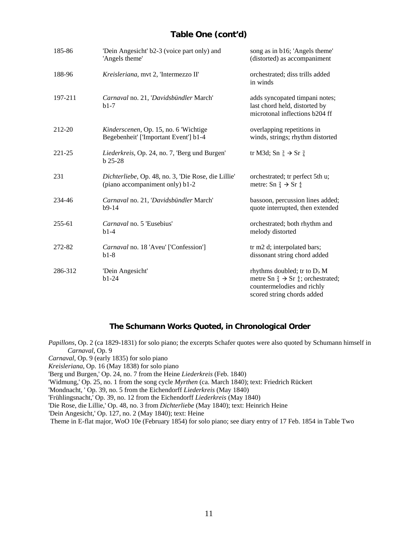## **Table One (cont'd)**

| 185-86  | 'Dein Angesicht' b2-3 (voice part only) and<br>'Angels theme'                          | song as in b16; 'Angels theme'<br>(distorted) as accompaniment                                                                                               |
|---------|----------------------------------------------------------------------------------------|--------------------------------------------------------------------------------------------------------------------------------------------------------------|
| 188-96  | Kreisleriana, mvt 2, 'Intermezzo II'                                                   | orchestrated; diss trills added<br>in winds                                                                                                                  |
| 197-211 | Carnaval no. 21, 'Davidsbündler March'<br>$b1-7$                                       | adds syncopated timpani notes;<br>last chord held, distorted by<br>microtonal inflections b204 ff                                                            |
| 212-20  | <i>Kinderscenen</i> , Op. 15, no. 6 'Wichtige<br>Begebenheit' ['Important Event'] b1-4 | overlapping repetitions in<br>winds, strings; rhythm distorted                                                                                               |
| 221-25  | Liederkreis, Op. 24, no. 7, 'Berg und Burgen'<br>$b$ 25-28                             | tr M3d; Sn $\frac{3}{8}$ $\rightarrow$ Sr $\frac{3}{4}$                                                                                                      |
| 231     | Dichterliebe, Op. 48, no. 3, 'Die Rose, die Lillie'<br>(piano accompaniment only) b1-2 | orchestrated; tr perfect 5th u;<br>metre: Sn $_4^2 \rightarrow$ Sr $_4^4$                                                                                    |
| 234-46  | Carnaval no. 21, 'Davidsbündler March'<br>$b9-14$                                      | bassoon, percussion lines added;<br>quote interrupted, then extended                                                                                         |
| 255-61  | Carnaval no. 5 'Eusebius'<br>$b1-4$                                                    | orchestrated; both rhythm and<br>melody distorted                                                                                                            |
| 272-82  | Carnaval no. 18 'Aveu' ['Confession']<br>$b1-8$                                        | tr m2 d; interpolated bars;<br>dissonant string chord added                                                                                                  |
| 286-312 | 'Dein Angesicht'<br>$b1-24$                                                            | rhythms doubled; tr to D <sub>b</sub> M<br>metre Sn $_4^2 \rightarrow$ Sr $_4^4$ ; orchestrated;<br>countermelodies and richly<br>scored string chords added |

## **The Schumann Works Quoted, in Chronological Order**

*Papillons*, Op. 2 (ca 1829-1831) for solo piano; the excerpts Schafer quotes were also quoted by Schumann himself in *Carnaval*, Op. 9

*Carnaval*, Op. 9 (early 1835) for solo piano

*Kreisleriana*, Op. 16 (May 1838) for solo piano

'Berg und Burgen,' Op. 24, no. 7 from the Heine *Liederkreis* (Feb. 1840)

'Widmung,' Op. 25, no. 1 from the song cycle *Myrthen* (ca. March 1840); text: Friedrich Rückert

'Mondnacht, ' Op. 39, no. 5 from the Eichendorff *Liederkreis* (May 1840)

'Frühlingsnacht,' Op. 39, no. 12 from the Eichendorff *Liederkreis* (May 1840)

'Die Rose, die Lillie,' Op. 48, no. 3 from *Dichterliebe* (May 1840); text: Heinrich Heine

'Dein Angesicht,' Op. 127, no. 2 (May 1840); text: Heine

Theme in E-flat major, WoO 10e (February 1854) for solo piano; see diary entry of 17 Feb. 1854 in Table Two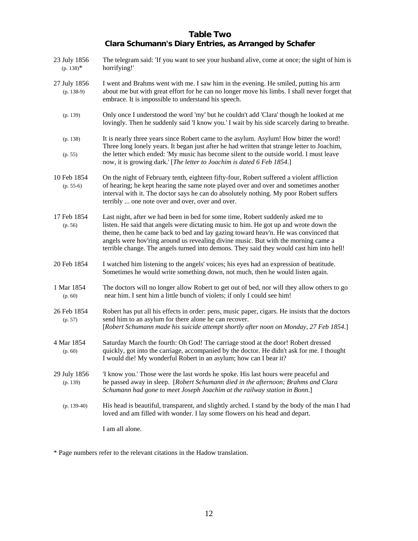# **Table Two Clara Schumann's Diary Entries, as Arranged by Schafer**

| 23 July 1856<br>$(p. 138)^*$ | The telegram said: 'If you want to see your husband alive, come at once; the sight of him is<br>horrifying!'                                                                                                                                                                                                                                                                                                                                      |
|------------------------------|---------------------------------------------------------------------------------------------------------------------------------------------------------------------------------------------------------------------------------------------------------------------------------------------------------------------------------------------------------------------------------------------------------------------------------------------------|
| 27 July 1856<br>$(p. 138-9)$ | I went and Brahms went with me. I saw him in the evening. He smiled, putting his arm<br>about me but with great effort for he can no longer move his limbs. I shall never forget that<br>embrace. It is impossible to understand his speech.                                                                                                                                                                                                      |
| (p. 139)                     | Only once I understood the word 'my' but he couldn't add 'Clara' though he looked at me<br>lovingly. Then he suddenly said 'I know you.' I wait by his side scarcely daring to breathe.                                                                                                                                                                                                                                                           |
| (p. 138)<br>(p. 55)          | It is nearly three years since Robert came to the asylum. Asylum! How bitter the word!<br>Three long lonely years. It began just after he had written that strange letter to Joachim,<br>the letter which ended: 'My music has become silent to the outside world. I must leave<br>now, it is growing dark.' [The letter to Joachim is dated 6 Feb 1854.]                                                                                         |
| 10 Feb 1854<br>$(p. 55-6)$   | On the night of February tenth, eighteen fifty-four, Robert suffered a violent affliction<br>of hearing; he kept hearing the same note played over and over and sometimes another<br>interval with it. The doctor says he can do absolutely nothing. My poor Robert suffers<br>terribly  one note over and over, over and over.                                                                                                                   |
| 17 Feb 1854<br>(p. 56)       | Last night, after we had been in bed for some time, Robert suddenly asked me to<br>listen. He said that angels were dictating music to him. He got up and wrote down the<br>theme, then he came back to bed and lay gazing toward heav'n. He was convinced that<br>angels were hov'ring around us revealing divine music. But with the morning came a<br>terrible change. The angels turned into demons. They said they would cast him into hell! |
| 20 Feb 1854                  | I watched him listening to the angels' voices; his eyes had an expression of beatitude.<br>Sometimes he would write something down, not much, then he would listen again.                                                                                                                                                                                                                                                                         |
| 1 Mar 1854<br>(p. 60)        | The doctors will no longer allow Robert to get out of bed, nor will they allow others to go<br>near him. I sent him a little bunch of violets; if only I could see him!                                                                                                                                                                                                                                                                           |
| 26 Feb 1854<br>(p. 57)       | Robert has put all his effects in order: pens, music paper, cigars. He insists that the doctors<br>send him to an asylum for there alone he can recover.<br>[Robert Schumann made his suicide attempt shortly after noon on Monday, 27 Feb 1854.]                                                                                                                                                                                                 |
| 4 Mar 1854<br>(p. 60)        | Saturday March the fourth: Oh God! The carriage stood at the door! Robert dressed<br>quickly, got into the carriage, accompanied by the doctor. He didn't ask for me. I thought<br>I would die! My wonderful Robert in an asylum; how can I bear it?                                                                                                                                                                                              |
| 29 July 1856<br>(p. 139)     | 'I know you.' Those were the last words he spoke. His last hours were peaceful and<br>he passed away in sleep. [Robert Schumann died in the afternoon; Brahms and Clara<br>Schumann had gone to meet Joseph Joachim at the railway station in Bonn.]                                                                                                                                                                                              |
| $(p. 139-40)$                | His head is beautiful, transparent, and slightly arched. I stand by the body of the man I had<br>loved and am filled with wonder. I lay some flowers on his head and depart.                                                                                                                                                                                                                                                                      |
|                              | I am all alone.                                                                                                                                                                                                                                                                                                                                                                                                                                   |

\* Page numbers refer to the relevant citations in the Hadow translation.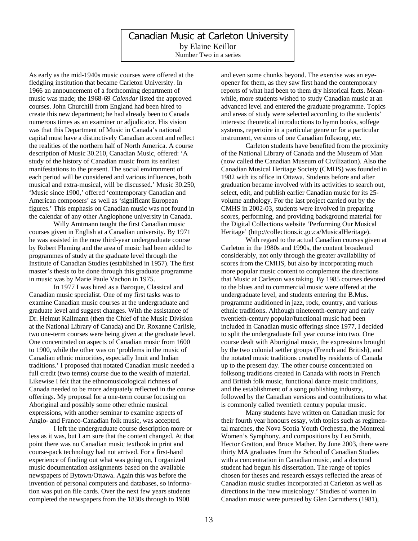## Canadian Music at Carleton University by Elaine Keillor Number Two in a series

As early as the mid-1940s music courses were offered at the fledgling institution that became Carleton University. In 1966 an announcement of a forthcoming department of music was made; the 1968-69 *Calendar* listed the approved courses. John Churchill from England had been hired to create this new department; he had already been to Canada numerous times as an examiner or adjudicator. His vision was that this Department of Music in Canada's national capital must have a distinctively Canadian accent and reflect the realities of the northern half of North America. A course description of Music 30.210, Canadian Music, offered: 'A study of the history of Canadian music from its earliest manifestations to the present. The social environment of each period will be considered and various influences, both musical and extra-musical, will be discussed.' Music 30.250, 'Music since 1900,' offered 'contemporary Canadian and American composers' as well as 'significant European figures.' This emphasis on Canadian music was not found in the calendar of any other Anglophone university in Canada.

 Willy Amtmann taught the first Canadian music courses given in English at a Canadian university. By 1971 he was assisted in the now third-year undergraduate course by Robert Fleming and the area of music had been added to programmes of study at the graduate level through the Institute of Canadian Studies (established in 1957). The first master's thesis to be done through this graduate programme in music was by Marie Paule Vachon in 1975.

In 1977 I was hired as a Baroque, Classical and Canadian music specialist. One of my first tasks was to examine Canadian music courses at the undergraduate and graduate level and suggest changes. With the assistance of Dr. Helmut Kallmann (then the Chief of the Music Division at the National Library of Canada) and Dr. Roxanne Carlisle, two one-term courses were being given at the graduate level. One concentrated on aspects of Canadian music from 1600 to 1900, while the other was on 'problems in the music of Canadian ethnic minorities, especially Inuit and Indian traditions.' I proposed that notated Canadian music needed a full credit (two terms) course due to the wealth of material. Likewise I felt that the ethnomusicological richness of Canada needed to be more adequately reflected in the course offerings. My proposal for a one-term course focusing on Aboriginal and possibly some other ethnic musical expressions, with another seminar to examine aspects of Anglo- and Franco-Canadian folk music, was accepted.

I left the undergraduate course description more or less as it was, but I am sure that the content changed. At that point there was no Canadian music textbook in print and course-pack technology had not arrived. For a first-hand experience of finding out what was going on, I organized music documentation assignments based on the available newspapers of Bytown/Ottawa. Again this was before the invention of personal computers and databases, so information was put on file cards. Over the next few years students completed the newspapers from the 1830s through to 1900

and even some chunks beyond. The exercise was an eyeopener for them, as they saw first hand the contemporary reports of what had been to them dry historical facts. Meanwhile, more students wished to study Canadian music at an advanced level and entered the graduate programme. Topics and areas of study were selected according to the students' interests: theoretical introductions to hymn books, solfege systems, repertoire in a particular genre or for a particular instrument, versions of one Canadian folksong, etc.

Carleton students have benefited from the proximity of the National Library of Canada and the Museum of Man (now called the Canadian Museum of Civilization). Also the Canadian Musical Heritage Society (CMHS) was founded in 1982 with its office in Ottawa. Students before and after graduation became involved with its activities to search out, select, edit, and publish earlier Canadian music for its 25 volume anthology. For the last project carried out by the CMHS in 2002-03, students were involved in preparing scores, performing, and providing background material for the Digital Collections website 'Performing Our Musical Heritage' (http://collections.ic.gc.ca/MusicalHeritage).

With regard to the actual Canadian courses given at Carleton in the 1980s and 1990s, the content broadened considerably, not only through the greater availability of scores from the CMHS, but also by incorporating much more popular music content to complement the directions that Music at Carleton was taking. By 1985 courses devoted to the blues and to commercial music were offered at the undergraduate level, and students entering the B.Mus. programme auditioned in jazz, rock, country, and various ethnic traditions. Although nineteenth-century and early twentieth-century popular/functional music had been included in Canadian music offerings since 1977, I decided to split the undergraduate full year course into two. One course dealt with Aboriginal music, the expressions brought by the two colonial settler groups (French and British), and the notated music traditions created by residents of Canada up to the present day. The other course concentrated on folksong traditions created in Canada with roots in French and British folk music, functional dance music traditions, and the establishment of a song publishing industry, followed by the Canadian versions and contributions to what is commonly called twentieth century popular music.

Many students have written on Canadian music for their fourth year honours essay, with topics such as regimental marches, the Nova Scotia Youth Orchestra, the Montreal Women's Symphony, and compositions by Leo Smith, Hector Gratton, and Bruce Mather. By June 2003, there were thirty MA graduates from the School of Canadian Studies with a concentration in Canadian music, and a doctoral student had begun his dissertation. The range of topics chosen for theses and research essays reflected the areas of Canadian music studies incorporated at Carleton as well as directions in the 'new musicology.' Studies of women in Canadian music were pursued by Glen Carruthers (1981),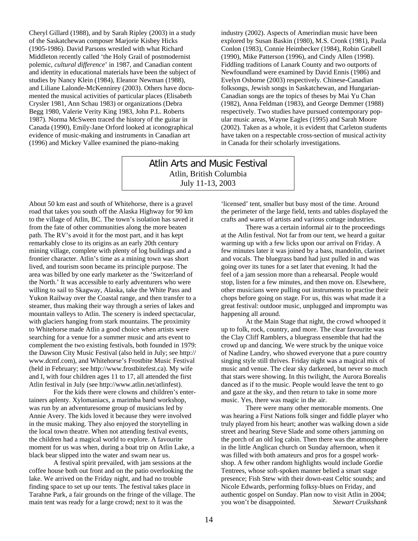Cheryl Gillard (1988), and by Sarah Ripley (2003) in a study of the Saskatchewan composer Marjorie Kisbey Hicks (1905-1986). David Parsons wrestled with what Richard Middleton recently called 'the Holy Grail of postmodernist polemic, *cultural difference*' in 1987, and Canadian content and identity in educational materials have been the subject of studies by Nancy Klein (1984), Eleanor Newman (1988), and Liliane Lalonde-McKennirey (2003). Others have documented the musical activities of particular places (Elisabeth Crysler 1981, Ann Schau 1983) or organizations (Debra Begg 1980, Valerie Verity King 1983, John P.L. Roberts 1987). Norma McSween traced the history of the guitar in Canada (1990), Emily-Jane Orford looked at iconographical evidence of music-making and instruments in Canadian art (1996) and Mickey Vallee examined the piano-making

industry (2002). Aspects of Amerindian music have been explored by Susan Baskin (1980), M.S. Cronk (1981), Paula Conlon (1983), Connie Heimbecker (1984), Robin Grabell (1990), Mike Patterson (1996), and Cindy Allen (1998). Fiddling traditions of Lanark County and two outports of Newfoundland were examined by David Ennis (1986) and Evelyn Osborne (2003) respectively. Chinese-Canadian folksongs, Jewish songs in Saskatchewan, and Hungarian-Canadian songs are the topics of theses by Mai Yu Chan (1982), Anna Feldman (1983), and George Demmer (1988) respectively. Two studies have pursued contemporary popular music areas, Wayne Eagles (1995) and Sarah Moore (2002). Taken as a whole, it is evident that Carleton students have taken on a respectable cross-section of musical activity in Canada for their scholarly investigations.

Atlin Arts and Music Festival Atlin, British Columbia July 11-13, 2003

About 50 km east and south of Whitehorse, there is a gravel road that takes you south off the Alaska Highway for 90 km to the village of Atlin, BC. The town's isolation has saved it from the fate of other communities along the more beaten path. The RV's avoid it for the most part, and it has kept remarkably close to its origins as an early 20th century mining village, complete with plenty of log buildings and a frontier character. Atlin's time as a mining town was short lived, and tourism soon became its principle purpose. The area was billed by one early marketer as the 'Switzerland of the North.' It was accessible to early adventurers who were willing to sail to Skagway, Alaska, take the White Pass and Yukon Railway over the Coastal range, and then transfer to a steamer, thus making their way through a series of lakes and mountain valleys to Atlin. The scenery is indeed spectacular, with glaciers hanging from stark mountains. The proximity to Whitehorse made Atlin a good choice when artists were searching for a venue for a summer music and arts event to complement the two existing festivals, both founded in 1979: the Dawson City Music Festival (also held in July; see http:// www.dcmf.com), and Whitehorse's Frostbite Music Festival (held in February; see http://www.frostbitefest.ca). My wife and I, with four children ages 11 to 17, all attended the first Atlin festival in July (see http://www.atlin.net/atlinfest).

 For the kids there were clowns and children's entertainers aplenty. Xylomaniacs, a marimba band workshop, was run by an adventuresome group of musicians led by Annie Avery. The kids loved it because they were involved in the music making. They also enjoyed the storytelling in the local town theatre. When not attending festival events, the children had a magical world to explore. A favourite moment for us was when, during a boat trip on Atlin Lake, a black bear slipped into the water and swam near us.

 A festival spirit prevailed, with jam sessions at the coffee house both out front and on the patio overlooking the lake. We arrived on the Friday night, and had no trouble finding space to set up our tents. The festival takes place in Tarahne Park, a fair grounds on the fringe of the village. The main tent was ready for a large crowd; next to it was the

'licensed' tent, smaller but busy most of the time. Around the perimeter of the large field, tents and tables displayed the crafts and wares of artists and various cottage industries.

 There was a certain informal air to the proceedings at the Atlin festival. Not far from our tent, we heard a guitar warming up with a few licks upon our arrival on Friday. A few minutes later it was joined by a bass, mandolin, clarinet and vocals. The bluegrass band had just pulled in and was going over its tunes for a set later that evening. It had the feel of a jam session more than a rehearsal. People would stop, listen for a few minutes, and then move on. Elsewhere, other musicians were pulling out instruments to practise their chops before going on stage. For us, this was what made it a great festival: outdoor music, unplugged and impromptu was happening all around.

At the Main Stage that night, the crowd whooped it up to folk, rock, country, and more. The clear favourite was the Clay Cliff Ramblers, a bluegrass ensemble that had the crowd up and dancing. We were struck by the unique voice of Nadine Landry, who showed everyone that a pure country singing style still thrives. Friday night was a magical mix of music and venue. The clear sky darkened, but never so much that stars were showing. In this twilight, the Aurora Borealis danced as if to the music. People would leave the tent to go and gaze at the sky, and then return to take in some more music. Yes, there was magic in the air.

There were many other memorable moments. One was hearing a First Nations folk singer and fiddle player who truly played from his heart; another was walking down a side street and hearing Steve Slade and some others jamming on the porch of an old log cabin. Then there was the atmosphere in the little Anglican church on Sunday afternoon, when it was filled with both amateurs and pros for a gospel workshop. A few other random highlights would include Gordie Tentrees, whose soft-spoken manner belied a smart stage presence; Fish Stew with their down-east Celtic sounds; and Nicole Edwards, performing folksy-blues on Friday, and authentic gospel on Sunday. Plan now to visit Atlin in 2004; you won't be disappointed. *Stewart Cruikshank*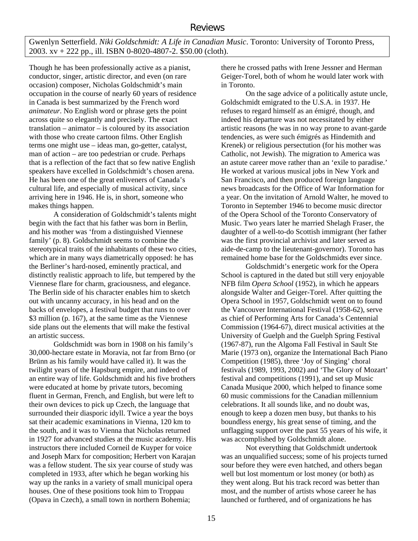Gwenlyn Setterfield. *Niki Goldschmidt: A Life in Canadian Music*. Toronto: University of Toronto Press, 2003. xv + 222 pp., ill. ISBN 0-8020-4807-2. \$50.00 (cloth).

Though he has been professionally active as a pianist, conductor, singer, artistic director, and even (on rare occasion) composer, Nicholas Goldschmidt's main occupation in the course of nearly 60 years of residence in Canada is best summarized by the French word *animateur*. No English word or phrase gets the point across quite so elegantly and precisely. The exact translation – animator – is coloured by its association with those who create cartoon films. Other English terms one might use – ideas man, go-getter, catalyst, man of action – are too pedestrian or crude. Perhaps that is a reflection of the fact that so few native English speakers have excelled in Goldschmidt's chosen arena. He has been one of the great enliveners of Canada's cultural life, and especially of musical activity, since arriving here in 1946. He is, in short, someone who makes things happen.

 A consideration of Goldschmidt's talents might begin with the fact that his father was born in Berlin, and his mother was 'from a distinguished Viennese family' (p. 8). Goldschmidt seems to combine the stereotypical traits of the inhabitants of these two cities, which are in many ways diametrically opposed: he has the Berliner's hard-nosed, eminently practical, and distinctly realistic approach to life, but tempered by the Viennese flare for charm, graciousness, and elegance. The Berlin side of his character enables him to sketch out with uncanny accuracy, in his head and on the backs of envelopes, a festival budget that runs to over \$3 million (p. 167), at the same time as the Viennese side plans out the elements that will make the festival an artistic success.

Goldschmidt was born in 1908 on his family's 30,000-hectare estate in Moravia, not far from Brno (or Brünn as his family would have called it). It was the twilight years of the Hapsburg empire, and indeed of an entire way of life. Goldschmidt and his five brothers were educated at home by private tutors, becoming fluent in German, French, and English, but were left to their own devices to pick up Czech, the language that surrounded their diasporic idyll. Twice a year the boys sat their academic examinations in Vienna, 120 km to the south, and it was to Vienna that Nicholas returned in 1927 for advanced studies at the music academy. His instructors there included Corneil de Kuyper for voice and Joseph Marx for composition; Herbert von Karajan was a fellow student. The six year course of study was completed in 1933, after which he began working his way up the ranks in a variety of small municipal opera houses. One of these positions took him to Troppau (Opava in Czech), a small town in northern Bohemia;

there he crossed paths with Irene Jessner and Herman Geiger-Torel, both of whom he would later work with in Toronto.

On the sage advice of a politically astute uncle, Goldschmidt emigrated to the U.S.A. in 1937. He refuses to regard himself as an émigré, though, and indeed his departure was not necessitated by either artistic reasons (he was in no way prone to avant-garde tendencies, as were such émigrés as Hindemith and Krenek) or religious persectution (for his mother was Catholic, not Jewish). The migration to America was an astute career move rather than an 'exile to paradise.' He worked at various musical jobs in New York and San Francisco, and then produced foreign language news broadcasts for the Office of War Information for a year. On the invitation of Arnold Walter, he moved to Toronto in September 1946 to become music director of the Opera School of the Toronto Conservatory of Music. Two years later he married Shelagh Fraser, the daughter of a well-to-do Scottish immigrant (her father was the first provincial archivist and later served as aide-de-camp to the lieutenant-governor). Toronto has remained home base for the Goldschmidts ever since.

Goldschmidt's energetic work for the Opera School is captured in the dated but still very enjoyable NFB film *Opera School* (1952), in which he appears alongside Walter and Geiger-Torel. After quitting the Opera School in 1957, Goldschmidt went on to found the Vancouver International Festival (1958-62), serve as chief of Performing Arts for Canada's Centennial Commission (1964-67), direct musical activities at the University of Guelph and the Guelph Spring Festival (1967-87), run the Algoma Fall Festival in Sault Ste Marie (1973 on), organize the International Bach Piano Competition (1985), three 'Joy of Singing' choral festivals (1989, 1993, 2002) and 'The Glory of Mozart' festival and competitions (1991), and set up Music Canada Musique 2000, which helped to finance some 60 music commissions for the Canadian millennium celebrations. It all sounds like, and no doubt was, enough to keep a dozen men busy, but thanks to his boundless energy, his great sense of timing, and the unflagging support over the past 55 years of his wife, it was accomplished by Goldschmidt alone.

Not everything that Goldschmidt undertook was an unqualified success; some of his projects turned sour before they were even hatched, and others began well but lost momentum or lost money (or both) as they went along. But his track record was better than most, and the number of artists whose career he has launched or furthered, and of organizations he has